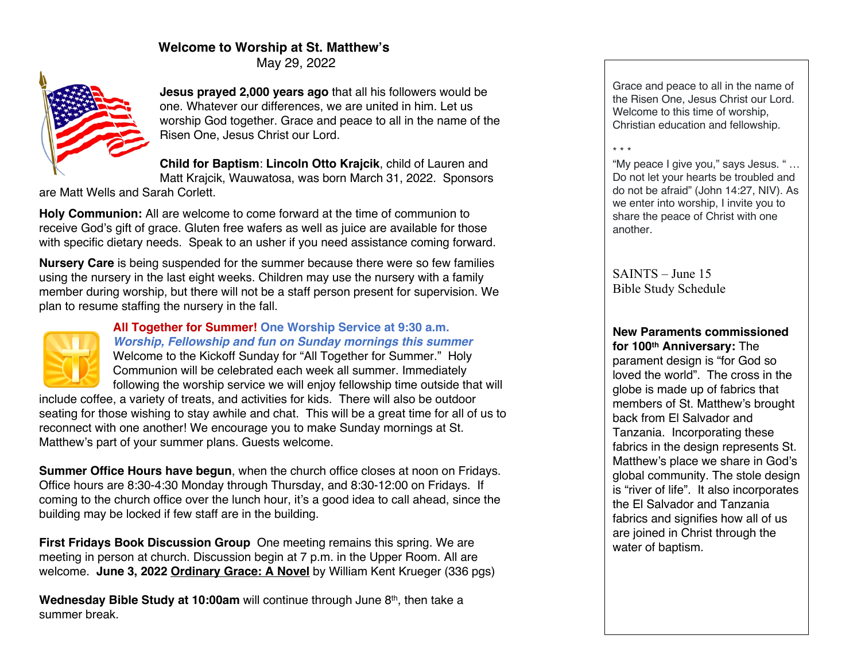# **Welcome to Worship at St. Matthew's**

May 29, 2022



**Jesus prayed 2,000 years ago** that all his followers would be one. Whatever our differences, we are united in him. Let us worship God together. Grace and peace to all in the name of the Risen One, Jesus Christ our Lord.

**Child for Baptism**: **Lincoln Otto Krajcik**, child of Lauren and

Matt Krajcik, Wauwatosa, was born March 31, 2022. Sponsors are Matt Wells and Sarah Corlett.

**Holy Communion:** All are welcome to come forward at the time of communion to receive God's gift of grace. Gluten free wafers as well as juice are available for those with specific dietary needs. Speak to an usher if you need assistance coming forward.

**Nursery Care** is being suspended for the summer because there were so few families using the nursery in the last eight weeks. Children may use the nursery with a family member during worship, but there will not be a staff person present for supervision. We plan to resume staffing the nursery in the fall.



#### **All Together for Summer! One Worship Service at 9:30 a.m.** *Worship, Fellowship and fun on Sunday mornings this summer* Welcome to the Kickoff Sunday for "All Together for Summer." Holy Communion will be celebrated each week all summer. Immediately following the worship service we will enjoy fellowship time outside that will

include coffee, a variety of treats, and activities for kids. There will also be outdoor seating for those wishing to stay awhile and chat. This will be a great time for all of us to reconnect with one another! We encourage you to make Sunday mornings at St. Matthew's part of your summer plans. Guests welcome.

**Summer Office Hours have begun**, when the church office closes at noon on Fridays. Office hours are 8:30-4:30 Monday through Thursday, and 8:30-12:00 on Fridays. If coming to the church office over the lunch hour, it's a good idea to call ahead, since the building may be locked if few staff are in the building.

**First Fridays Book Discussion Group** One meeting remains this spring. We are meeting in person at church. Discussion begin at 7 p.m. in the Upper Room. All are welcome. **June 3, 2022 Ordinary Grace: A Novel** by William Kent Krueger (336 pgs)

**Wednesday Bible Study at 10:00am** will continue through June 8<sup>th</sup>, then take a summer break.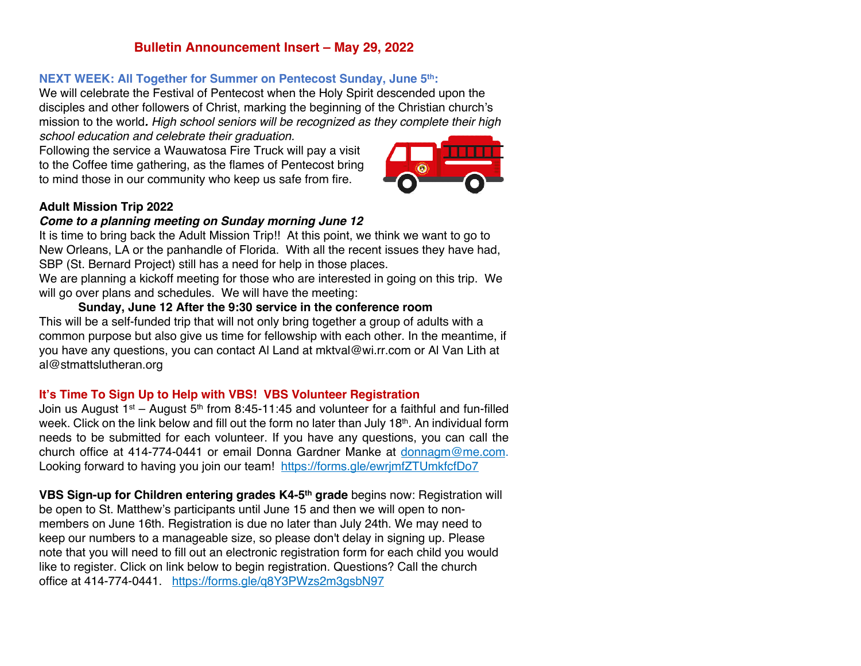# **Bulletin Announcement Insert – May 29, 2022**

#### **NEXT WEEK: All Together for Summer on Pentecost Sunday, June 5th:**

We will celebrate the Festival of Pentecost when the Holy Spirit descended upon the disciples and other followers of Christ, marking the beginning of the Christian church's mission to the world*. High school seniors will be recognized as they complete their high school education and celebrate their graduation.*

Following the service a Wauwatosa Fire Truck will pay a visit to the Coffee time gathering, as the flames of Pentecost bring to mind those in our community who keep us safe from fire.



#### **Adult Mission Trip 2022**

#### *Come to a planning meeting on Sunday morning June 12*

It is time to bring back the Adult Mission Trip!! At this point, we think we want to go to New Orleans, LA or the panhandle of Florida. With all the recent issues they have had, SBP (St. Bernard Project) still has a need for help in those places.

We are planning a kickoff meeting for those who are interested in going on this trip. We will go over plans and schedules. We will have the meeting:

### **Sunday, June 12 After the 9:30 service in the conference room**

This will be a self-funded trip that will not only bring together a group of adults with a common purpose but also give us time for fellowship with each other. In the meantime, if you have any questions, you can contact Al Land at mktval@wi.rr.com or Al Van Lith at al@stmattslutheran.org

### **It's Time To Sign Up to Help with VBS! VBS Volunteer Registration**

Join us August 1st – August  $5<sup>th</sup>$  from 8:45-11:45 and volunteer for a faithful and fun-filled week. Click on the link below and fill out the form no later than July 18th. An individual form needs to be submitted for each volunteer. If you have any questions, you can call the church office at 414-774-0441 or email Donna Gardner Manke at donnagm@me.com. Looking forward to having you join our team! https://forms.gle/ewrimfZTUmkfcfDo7

**VBS Sign-up for Children entering grades K4-5th grade** begins now: Registration will be open to St. Matthew's participants until June 15 and then we will open to nonmembers on June 16th. Registration is due no later than July 24th. We may need to keep our numbers to a manageable size, so please don't delay in signing up. Please note that you will need to fill out an electronic registration form for each child you would like to register. Click on link below to begin registration. Questions? Call the church office at 414-774-0441. https://forms.gle/q8Y3PWzs2m3gsbN97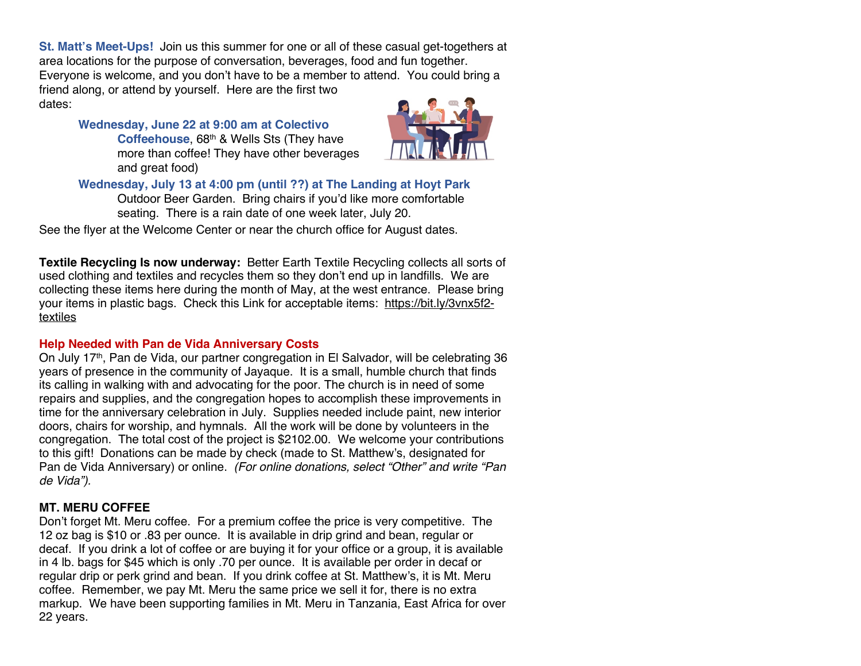**St. Matt's Meet-Ups!** Join us this summer for one or all of these casual get-togethers at area locations for the purpose of conversation, beverages, food and fun together. Everyone is welcome, and you don't have to be a member to attend. You could bring a friend along, or attend by yourself. Here are the first two

dates:

#### **Wednesday, June 22 at 9:00 am at Colectivo**  Coffeehouse, 68<sup>th</sup> & Wells Sts (They have more than coffee! They have other beverages and great food)



# **Wednesday, July 13 at 4:00 pm (until ??) at The Landing at Hoyt Park**

Outdoor Beer Garden. Bring chairs if you'd like more comfortable seating. There is a rain date of one week later, July 20.

See the flyer at the Welcome Center or near the church office for August dates.

**Textile Recycling Is now underway:** Better Earth Textile Recycling collects all sorts of used clothing and textiles and recycles them so they don't end up in landfills. We are collecting these items here during the month of May, at the west entrance. Please bring your items in plastic bags. Check this Link for acceptable items: https://bit.ly/3vnx5f2 textiles

#### **Help Needed with Pan de Vida Anniversary Costs**

On July 17th, Pan de Vida, our partner congregation in El Salvador, will be celebrating 36 years of presence in the community of Jayaque. It is a small, humble church that finds its calling in walking with and advocating for the poor. The church is in need of some repairs and supplies, and the congregation hopes to accomplish these improvements in time for the anniversary celebration in July. Supplies needed include paint, new interior doors, chairs for worship, and hymnals. All the work will be done by volunteers in the congregation. The total cost of the project is \$2102.00. We welcome your contributions to this gift! Donations can be made by check (made to St. Matthew's, designated for Pan de Vida Anniversary) or online. *(For online donations, select "Other" and write "Pan de Vida").* 

### **MT. MERU COFFEE**

Don't forget Mt. Meru coffee. For a premium coffee the price is very competitive. The 12 oz bag is \$10 or .83 per ounce. It is available in drip grind and bean, regular or decaf. If you drink a lot of coffee or are buying it for your office or a group, it is available in 4 lb. bags for \$45 which is only .70 per ounce. It is available per order in decaf or regular drip or perk grind and bean. If you drink coffee at St. Matthew's, it is Mt. Meru coffee. Remember, we pay Mt. Meru the same price we sell it for, there is no extra markup. We have been supporting families in Mt. Meru in Tanzania, East Africa for over 22 years.